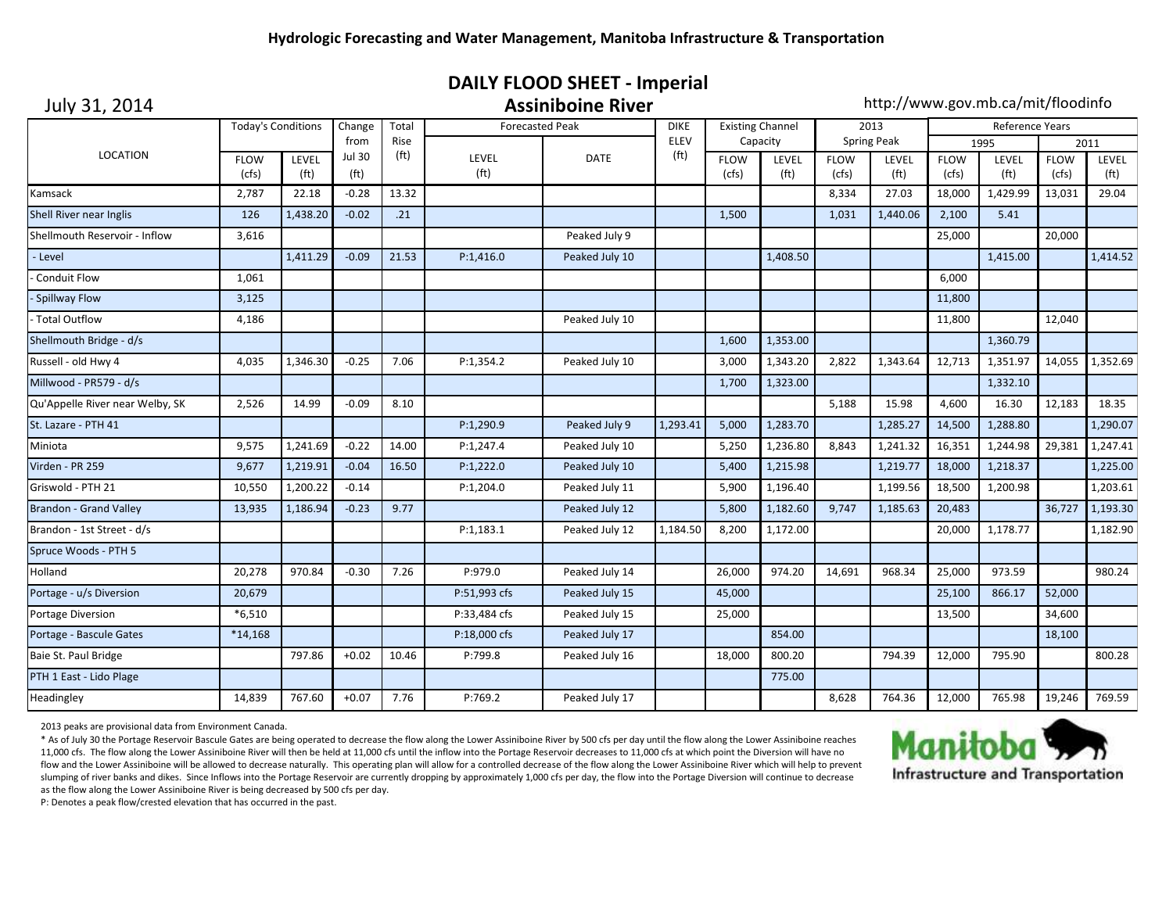**DAILY FLOOD SHEET - Imperial**

| July 31, 2014                   | ALL <b>LOOD</b> SILL <b>MINGHA</b><br><b>Assiniboine River</b><br>http://www.gov.mb.ca/mit/floodinfo |                            |                                    |                           |                            |                |                                  |                         |                            |                      |                            |                      |                            |                      |                            |  |
|---------------------------------|------------------------------------------------------------------------------------------------------|----------------------------|------------------------------------|---------------------------|----------------------------|----------------|----------------------------------|-------------------------|----------------------------|----------------------|----------------------------|----------------------|----------------------------|----------------------|----------------------------|--|
| <b>LOCATION</b>                 | <b>Today's Conditions</b>                                                                            |                            | Change<br>from                     | Total                     | <b>Forecasted Peak</b>     |                | <b>DIKE</b>                      | <b>Existing Channel</b> |                            | 2013                 |                            |                      | Reference Years            |                      |                            |  |
|                                 |                                                                                                      |                            |                                    | Rise<br>(f <sup>t</sup> ) |                            |                | <b>ELEV</b><br>(f <sup>t</sup> ) | Capacity                |                            | <b>Spring Peak</b>   |                            | 1995                 |                            | 2011                 |                            |  |
|                                 | <b>FLOW</b><br>(cfs)                                                                                 | LEVEL<br>(f <sup>t</sup> ) | <b>Jul 30</b><br>(f <sup>t</sup> ) |                           | LEVEL<br>(f <sup>t</sup> ) | <b>DATE</b>    |                                  | <b>FLOW</b><br>(cfs)    | LEVEL<br>(f <sup>t</sup> ) | <b>FLOW</b><br>(cfs) | LEVEL<br>(f <sup>t</sup> ) | <b>FLOW</b><br>(cfs) | LEVEL<br>(f <sub>t</sub> ) | <b>FLOW</b><br>(cfs) | LEVEL<br>(f <sup>t</sup> ) |  |
| Kamsack                         | 2,787                                                                                                | 22.18                      | $-0.28$                            | 13.32                     |                            |                |                                  |                         |                            | 8,334                | 27.03                      | 18,000               | 1,429.99                   | 13,031               | 29.04                      |  |
| Shell River near Inglis         | 126                                                                                                  | 1,438.20                   | $-0.02$                            | .21                       |                            |                |                                  | 1,500                   |                            | 1,031                | 1,440.06                   | 2,100                | 5.41                       |                      |                            |  |
| Shellmouth Reservoir - Inflow   | 3,616                                                                                                |                            |                                    |                           |                            | Peaked July 9  |                                  |                         |                            |                      |                            | 25,000               |                            | 20,000               |                            |  |
| - Level                         |                                                                                                      | 1,411.29                   | $-0.09$                            | 21.53                     | P:1,416.0                  | Peaked July 10 |                                  |                         | 1,408.50                   |                      |                            |                      | 1,415.00                   |                      | 1,414.52                   |  |
| Conduit Flow                    | 1,061                                                                                                |                            |                                    |                           |                            |                |                                  |                         |                            |                      |                            | 6,000                |                            |                      |                            |  |
| <b>Spillway Flow</b>            | 3,125                                                                                                |                            |                                    |                           |                            |                |                                  |                         |                            |                      |                            | 11,800               |                            |                      |                            |  |
| Total Outflow                   | 4,186                                                                                                |                            |                                    |                           |                            | Peaked July 10 |                                  |                         |                            |                      |                            | 11,800               |                            | 12,040               |                            |  |
| Shellmouth Bridge - d/s         |                                                                                                      |                            |                                    |                           |                            |                |                                  | 1,600                   | 1,353.00                   |                      |                            |                      | 1,360.79                   |                      |                            |  |
| Russell - old Hwy 4             | 4,035                                                                                                | 1,346.30                   | $-0.25$                            | 7.06                      | P:1,354.2                  | Peaked July 10 |                                  | 3,000                   | 1,343.20                   | 2,822                | 1,343.64                   | 12,713               | 1,351.97                   | 14,055               | 1,352.69                   |  |
| Millwood - PR579 - d/s          |                                                                                                      |                            |                                    |                           |                            |                |                                  | 1,700                   | 1,323.00                   |                      |                            |                      | 1,332.10                   |                      |                            |  |
| Qu'Appelle River near Welby, SK | 2,526                                                                                                | 14.99                      | $-0.09$                            | 8.10                      |                            |                |                                  |                         |                            | 5,188                | 15.98                      | 4,600                | 16.30                      | 12,183               | 18.35                      |  |
| St. Lazare - PTH 41             |                                                                                                      |                            |                                    |                           | P:1,290.9                  | Peaked July 9  | 1,293.41                         | 5,000                   | 1,283.70                   |                      | 1,285.27                   | 14,500               | 1,288.80                   |                      | 1,290.07                   |  |
| Miniota                         | 9,575                                                                                                | 1,241.69                   | $-0.22$                            | 14.00                     | P:1,247.4                  | Peaked July 10 |                                  | 5,250                   | 1,236.80                   | 8.843                | 1,241.32                   | 16,351               | 1,244.98                   | 29,381               | 1,247.41                   |  |
| Virden - PR 259                 | 9,677                                                                                                | 1,219.91                   | $-0.04$                            | 16.50                     | P:1,222.0                  | Peaked July 10 |                                  | 5,400                   | 1,215.98                   |                      | 1,219.77                   | 18,000               | 1,218.37                   |                      | 1,225.00                   |  |
| Griswold - PTH 21               | 10,550                                                                                               | 1,200.22                   | $-0.14$                            |                           | P:1,204.0                  | Peaked July 11 |                                  | 5,900                   | 1,196.40                   |                      | 1,199.56                   | 18,500               | 1,200.98                   |                      | 1,203.61                   |  |
| Brandon - Grand Valley          | 13,935                                                                                               | 1,186.94                   | $-0.23$                            | 9.77                      |                            | Peaked July 12 |                                  | 5,800                   | 1,182.60                   | 9.747                | 1,185.63                   | 20,483               |                            | 36,727               | 1,193.30                   |  |
| Brandon - 1st Street - d/s      |                                                                                                      |                            |                                    |                           | P:1,183.1                  | Peaked July 12 | 1,184.50                         | 8,200                   | 1,172.00                   |                      |                            | 20,000               | 1,178.77                   |                      | 1,182.90                   |  |
| Spruce Woods - PTH 5            |                                                                                                      |                            |                                    |                           |                            |                |                                  |                         |                            |                      |                            |                      |                            |                      |                            |  |
| Holland                         | 20,278                                                                                               | 970.84                     | $-0.30$                            | 7.26                      | P:979.0                    | Peaked July 14 |                                  | 26,000                  | 974.20                     | 14,691               | 968.34                     | 25,000               | 973.59                     |                      | 980.24                     |  |
| Portage - u/s Diversion         | 20,679                                                                                               |                            |                                    |                           | P:51,993 cfs               | Peaked July 15 |                                  | 45,000                  |                            |                      |                            | 25,100               | 866.17                     | 52,000               |                            |  |
| Portage Diversion               | $*6,510$                                                                                             |                            |                                    |                           | P:33,484 cfs               | Peaked July 15 |                                  | 25,000                  |                            |                      |                            | 13,500               |                            | 34,600               |                            |  |
| Portage - Bascule Gates         | $*14,168$                                                                                            |                            |                                    |                           | P:18,000 cfs               | Peaked July 17 |                                  |                         | 854.00                     |                      |                            |                      |                            | 18,100               |                            |  |
| Baie St. Paul Bridge            |                                                                                                      | 797.86                     | $+0.02$                            | 10.46                     | P:799.8                    | Peaked July 16 |                                  | 18,000                  | 800.20                     |                      | 794.39                     | 12,000               | 795.90                     |                      | 800.28                     |  |
| PTH 1 East - Lido Plage         |                                                                                                      |                            |                                    |                           |                            |                |                                  |                         | 775.00                     |                      |                            |                      |                            |                      |                            |  |
| Headingley                      | 14,839                                                                                               | 767.60                     | $+0.07$                            | 7.76                      | P:769.2                    | Peaked July 17 |                                  |                         |                            | 8,628                | 764.36                     | 12,000               | 765.98                     | 19,246               | 769.59                     |  |

2013 peaks are provisional data from Environment Canada.

\* As of July 30 the Portage Reservoir Bascule Gates are being operated to decrease the flow along the Lower Assiniboine River by 500 cfs per day until the flow along the Lower Assiniboine reaches 11,000 cfs. The flow along the Lower Assiniboine River will then be held at 11,000 cfs until the inflow into the Portage Reservoir decreases to 11,000 cfs at which point the Diversion will have no flow and the Lower Assiniboine will be allowed to decrease naturally. This operating plan will allow for a controlled decrease of the flow along the Lower Assiniboine River which will help to prevent slumping of river banks and dikes. Since Inflows into the Portage Reservoir are currently dropping by approximately 1,000 cfs per day, the flow into the Portage Diversion will continue to decrease as the flow along the Lower Assiniboine River is being decreased by 500 cfs per day.



P: Denotes a peak flow/crested elevation that has occurred in the past.